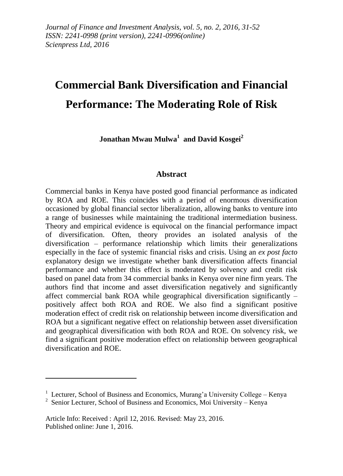# **Commercial Bank Diversification and Financial Performance: The Moderating Role of Risk**

**Jonathan Mwau Mulwa<sup>1</sup> and David Kosgei<sup>2</sup>**

#### **Abstract**

Commercial banks in Kenya have posted good financial performance as indicated by ROA and ROE. This coincides with a period of enormous diversification occasioned by global financial sector liberalization, allowing banks to venture into a range of businesses while maintaining the traditional intermediation business. Theory and empirical evidence is equivocal on the financial performance impact of diversification. Often, theory provides an isolated analysis of the diversification – performance relationship which limits their generalizations especially in the face of systemic financial risks and crisis. Using an *ex post facto* explanatory design we investigate whether bank diversification affects financial performance and whether this effect is moderated by solvency and credit risk based on panel data from 34 commercial banks in Kenya over nine firm years. The authors find that income and asset diversification negatively and significantly affect commercial bank ROA while geographical diversification significantly – positively affect both ROA and ROE. We also find a significant positive moderation effect of credit risk on relationship between income diversification and ROA but a significant negative effect on relationship between asset diversification and geographical diversification with both ROA and ROE. On solvency risk, we find a significant positive moderation effect on relationship between geographical diversification and ROE.

1

<sup>&</sup>lt;sup>1</sup> Lecturer, School of Business and Economics, Murang'a University College – Kenya

<sup>&</sup>lt;sup>2</sup> Senior Lecturer, School of Business and Economics, Moi University – Kenya

Article Info: Received : April 12, 2016. Revised: May 23, 2016. Published online: June 1, 2016.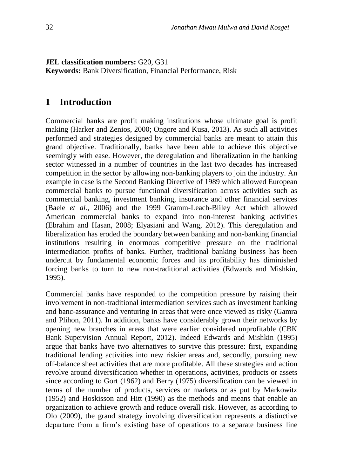**JEL classification numbers:** G20, G31 **Keywords:** Bank Diversification, Financial Performance, Risk

# **1 Introduction**

Commercial banks are profit making institutions whose ultimate goal is profit making (Harker and Zenios, 2000; Ongore and Kusa, 2013). As such all activities performed and strategies designed by commercial banks are meant to attain this grand objective. Traditionally, banks have been able to achieve this objective seemingly with ease. However, the deregulation and liberalization in the banking sector witnessed in a number of countries in the last two decades has increased competition in the sector by allowing non-banking players to join the industry. An example in case is the Second Banking Directive of 1989 which allowed European commercial banks to pursue functional diversification across activities such as commercial banking, investment banking, insurance and other financial services (Baele *et al.,* 2006) and the 1999 Gramm-Leach-Bliley Act which allowed American commercial banks to expand into non-interest banking activities (Ebrahim and Hasan, 2008; Elyasiani and Wang, 2012). This deregulation and liberalization has eroded the boundary between banking and non-banking financial institutions resulting in enormous competitive pressure on the traditional intermediation profits of banks. Further, traditional banking business has been undercut by fundamental economic forces and its profitability has diminished forcing banks to turn to new non-traditional activities (Edwards and Mishkin, 1995).

Commercial banks have responded to the competition pressure by raising their involvement in non-traditional intermediation services such as investment banking and banc-assurance and venturing in areas that were once viewed as risky (Gamra and Plihon, 2011). In addition, banks have considerably grown their networks by opening new branches in areas that were earlier considered unprofitable (CBK Bank Supervision Annual Report, 2012). Indeed Edwards and Mishkin (1995) argue that banks have two alternatives to survive this pressure: first, expanding traditional lending activities into new riskier areas and, secondly, pursuing new off-balance sheet activities that are more profitable. All these strategies and action revolve around diversification whether in operations, activities, products or assets since according to Gort (1962) and Berry (1975) diversification can be viewed in terms of the number of products, services or markets or as put by Markowitz (1952) and Hoskisson and Hitt (1990) as the methods and means that enable an organization to achieve growth and reduce overall risk. However, as according to Olo (2009), the grand strategy involving diversification represents a distinctive departure from a firm's existing base of operations to a separate business line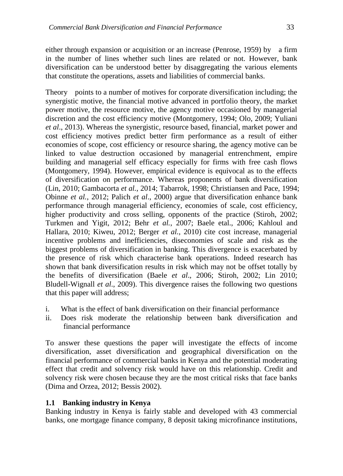either through expansion or acquisition or an increase (Penrose, 1959) by a firm in the number of lines whether such lines are related or not. However, bank diversification can be understood better by disaggregating the various elements that constitute the operations, assets and liabilities of commercial banks.

Theory points to a number of motives for corporate diversification including; the synergistic motive, the financial motive advanced in portfolio theory, the market power motive, the resource motive, the agency motive occasioned by managerial discretion and the cost efficiency motive (Montgomery, 1994; Olo, 2009; Yuliani *et al*., 2013). Whereas the synergistic, resource based, financial, market power and cost efficiency motives predict better firm performance as a result of either economies of scope, cost efficiency or resource sharing, the agency motive can be linked to value destruction occasioned by managerial entrenchment, empire building and managerial self efficacy especially for firms with free cash flows (Montgomery, 1994). However, empirical evidence is equivocal as to the effects of diversification on performance. Whereas proponents of bank diversification (Lin, 2010; Gambacorta *et al.*, 2014; Tabarrok, 1998; Christiansen and Pace, 1994; Obinne *et al.*, 2012; Palich *et al*., 2000) argue that diversification enhance bank performance through managerial efficiency, economies of scale, cost efficiency, higher productivity and cross selling, opponents of the practice (Stiroh, 2002; Turkmen and Yigit, 2012; Behr *et al.*, 2007; Baele etal., 2006; Kahloul and Hallara, 2010; Kiweu, 2012; Berger *et al.*, 2010) cite cost increase, managerial incentive problems and inefficiencies, diseconomies of scale and risk as the biggest problems of diversification in banking. This divergence is exacerbated by the presence of risk which characterise bank operations. Indeed research has shown that bank diversification results in risk which may not be offset totally by the benefits of diversification (Baele *et al*., 2006; Stiroh, 2002; Lin 2010; Bludell-Wignall *et al*., 2009). This divergence raises the following two questions that this paper will address;

- i. What is the effect of bank diversification on their financial performance
- ii. Does risk moderate the relationship between bank diversification and financial performance

To answer these questions the paper will investigate the effects of income diversification, asset diversification and geographical diversification on the financial performance of commercial banks in Kenya and the potential moderating effect that credit and solvency risk would have on this relationship. Credit and solvency risk were chosen because they are the most critical risks that face banks (Dima and Orzea, 2012; Bessis 2002).

## **1.1 Banking industry in Kenya**

Banking industry in Kenya is fairly stable and developed with 43 commercial banks, one mortgage finance company, 8 deposit taking microfinance institutions,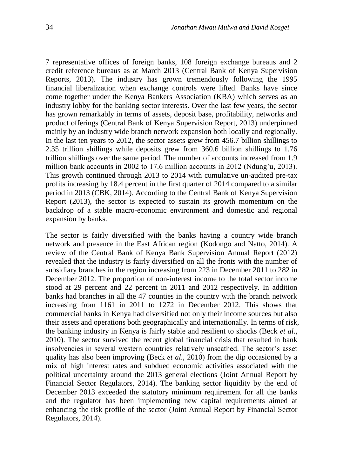7 representative offices of foreign banks, 108 foreign exchange bureaus and 2 credit reference bureaus as at March 2013 (Central Bank of Kenya Supervision Reports, 2013). The industry has grown tremendously following the 1995 financial liberalization when exchange controls were lifted. Banks have since come together under the Kenya Bankers Association (KBA) which serves as an industry lobby for the banking sector interests. Over the last few years, the sector has grown remarkably in terms of assets, deposit base, profitability, networks and product offerings (Central Bank of Kenya Supervision Report, 2013) underpinned mainly by an industry wide branch network expansion both locally and regionally. In the last ten years to 2012, the sector assets grew from 456.7 billion shillings to 2.35 trillion shillings while deposits grew from 360.6 billion shillings to 1.76 trillion shillings over the same period. The number of accounts increased from 1.9 million bank accounts in 2002 to 17.6 million accounts in 2012 (Ndung'u, 2013). This growth continued through 2013 to 2014 with cumulative un-audited pre-tax profits increasing by 18.4 percent in the first quarter of 2014 compared to a similar period in 2013 (CBK, 2014). According to the Central Bank of Kenya Supervision Report (2013), the sector is expected to sustain its growth momentum on the backdrop of a stable macro-economic environment and domestic and regional expansion by banks.

The sector is fairly diversified with the banks having a country wide branch network and presence in the East African region (Kodongo and Natto, 2014). A review of the Central Bank of Kenya Bank Supervision Annual Report (2012) revealed that the industry is fairly diversified on all the fronts with the number of subsidiary branches in the region increasing from 223 in December 2011 to 282 in December 2012. The proportion of non-interest income to the total sector income stood at 29 percent and 22 percent in 2011 and 2012 respectively. In addition banks had branches in all the 47 counties in the country with the branch network increasing from 1161 in 2011 to 1272 in December 2012. This shows that commercial banks in Kenya had diversified not only their income sources but also their assets and operations both geographically and internationally. In terms of risk, the banking industry in Kenya is fairly stable and resilient to shocks (Beck *et al*., 2010). The sector survived the recent global financial crisis that resulted in bank insolvencies in several western countries relatively unscathed. The sector's asset quality has also been improving (Beck *et al*., 2010) from the dip occasioned by a mix of high interest rates and subdued economic activities associated with the political uncertainty around the 2013 general elections (Joint Annual Report by Financial Sector Regulators, 2014). The banking sector liquidity by the end of December 2013 exceeded the statutory minimum requirement for all the banks and the regulator has been implementing new capital requirements aimed at enhancing the risk profile of the sector (Joint Annual Report by Financial Sector Regulators, 2014).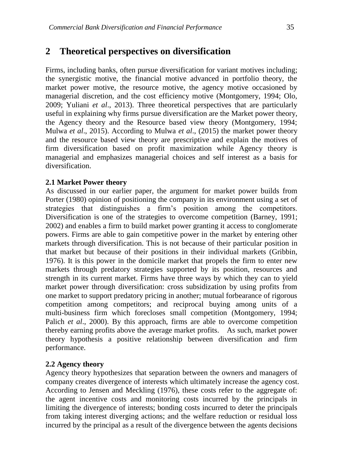# **2 Theoretical perspectives on diversification**

Firms, including banks, often pursue diversification for variant motives including; the synergistic motive, the financial motive advanced in portfolio theory, the market power motive, the resource motive, the agency motive occasioned by managerial discretion, and the cost efficiency motive (Montgomery, 1994; Olo, 2009; Yuliani *et al*., 2013). Three theoretical perspectives that are particularly useful in explaining why firms pursue diversification are the Market power theory, the Agency theory and the Resource based view theory (Montgomery, 1994; Mulwa *et al*., 2015). According to Mulwa *et al*., (2015) the market power theory and the resource based view theory are prescriptive and explain the motives of firm diversification based on profit maximization while Agency theory is managerial and emphasizes managerial choices and self interest as a basis for diversification.

## **2.1 Market Power theory**

As discussed in our earlier paper, the argument for market power builds from Porter (1980) opinion of positioning the company in its environment using a set of strategies that distinguishes a firm's position among the competitors. Diversification is one of the strategies to overcome competition (Barney, 1991; 2002) and enables a firm to build market power granting it access to conglomerate powers. Firms are able to gain competitive power in the market by entering other markets through diversification. This is not because of their particular position in that market but because of their positions in their individual markets (Gribbin, 1976). It is this power in the domicile market that propels the firm to enter new markets through predatory strategies supported by its position, resources and strength in its current market. Firms have three ways by which they can to yield market power through diversification: cross subsidization by using profits from one market to support predatory pricing in another; mutual forbearance of rigorous competition among competitors; and reciprocal buying among units of a multi-business firm which forecloses small competition (Montgomery, 1994; Palich *et al.*, 2000). By this approach, firms are able to overcome competition thereby earning profits above the average market profits. As such, market power theory hypothesis a positive relationship between diversification and firm performance.

## **2.2 Agency theory**

Agency theory hypothesizes that separation between the owners and managers of company creates divergence of interests which ultimately increase the agency cost. According to Jensen and Meckling (1976), these costs refer to the aggregate of: the agent incentive costs and monitoring costs incurred by the principals in limiting the divergence of interests; bonding costs incurred to deter the principals from taking interest diverging actions; and the welfare reduction or residual loss incurred by the principal as a result of the divergence between the agents decisions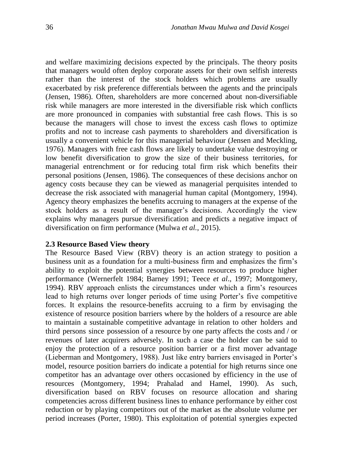and welfare maximizing decisions expected by the principals. The theory posits that managers would often deploy corporate assets for their own selfish interests rather than the interest of the stock holders which problems are usually exacerbated by risk preference differentials between the agents and the principals (Jensen, 1986). Often, shareholders are more concerned about non-diversifiable risk while managers are more interested in the diversifiable risk which conflicts are more pronounced in companies with substantial free cash flows. This is so because the managers will chose to invest the excess cash flows to optimize profits and not to increase cash payments to shareholders and diversification is usually a convenient vehicle for this managerial behaviour (Jensen and Meckling, 1976). Managers with free cash flows are likely to undertake value destroying or low benefit diversification to grow the size of their business territories, for managerial entrenchment or for reducing total firm risk which benefits their personal positions (Jensen, 1986). The consequences of these decisions anchor on agency costs because they can be viewed as managerial perquisites intended to decrease the risk associated with managerial human capital (Montgomery, 1994). Agency theory emphasizes the benefits accruing to managers at the expense of the

stock holders as a result of the manager's decisions. Accordingly the view explains why managers pursue diversification and predicts a negative impact of diversification on firm performance (Mulwa *et al.*, 2015).

#### **2.3 Resource Based View theory**

The Resource Based View (RBV) theory is an action strategy to position a business unit as a foundation for a multi-business firm and emphasizes the firm's ability to exploit the potential synergies between resources to produce higher performance (Wernerfelt 1984; Barney 1991; Teece *et al*., 1997; Montgomery, 1994). RBV approach enlists the circumstances under which a firm's resources lead to high returns over longer periods of time using Porter's five competitive forces. It explains the resource-benefits accruing to a firm by envisaging the existence of resource position barriers where by the holders of a resource are able to maintain a sustainable competitive advantage in relation to other holders and third persons since possession of a resource by one party affects the costs and / or revenues of later acquirers adversely. In such a case the holder can be said to enjoy the protection of a resource position barrier or a first mover advantage (Lieberman and Montgomery, 1988). Just like entry barriers envisaged in Porter's model, resource position barriers do indicate a potential for high returns since one competitor has an advantage over others occasioned by efficiency in the use of resources (Montgomery, 1994; Prahalad and Hamel, 1990). As such, diversification based on RBV focuses on resource allocation and sharing competencies across different business lines to enhance performance by either cost reduction or by playing competitors out of the market as the absolute volume per period increases (Porter, 1980). This exploitation of potential synergies expected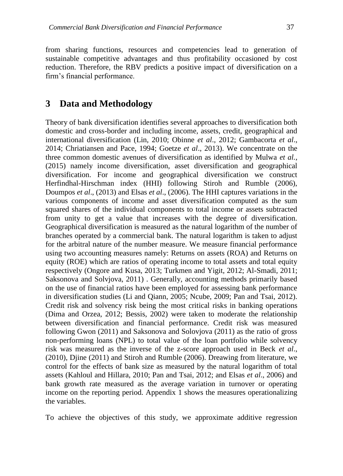from sharing functions, resources and competencies lead to generation of sustainable competitive advantages and thus profitability occasioned by cost reduction. Therefore, the RBV predicts a positive impact of diversification on a firm's financial performance.

## **3 Data and Methodology**

Theory of bank diversification identifies several approaches to diversification both domestic and cross-border and including income, assets, credit, geographical and international diversification (Lin, 2010; Obinne *et al*., 2012; Gambacorta *et al*., 2014; Chriatiansen and Pace, 1994; Goetze *et al*., 2013). We concentrate on the three common domestic avenues of diversification as identified by Mulwa *et al.*, (2015) namely income diversification, asset diversification and geographical diversification. For income and geographical diversification we construct Herfindhal-Hirschman index (HHI) following Stiroh and Rumble (2006), Doumpos *et al*., (2013) and Elsas *et al*., (2006). The HHI captures variations in the various components of income and asset diversification computed as the sum squared shares of the individual components to total income or assets subtracted from unity to get a value that increases with the degree of diversification. Geographical diversification is measured as the natural logarithm of the number of branches operated by a commercial bank. The natural logarithm is taken to adjust for the arbitral nature of the number measure. We measure financial performance using two accounting measures namely: Returns on assets (ROA) and Returns on equity (ROE) which are ratios of operating income to total assets and total equity respectively (Ongore and Kusa, 2013; Turkmen and Yigit, 2012; Al-Smadi, 2011; Saksonova and Solvjova, 2011) . Generally, accounting methods primarily based on the use of financial ratios have been employed for assessing bank performance in diversification studies (Li and Qiann, 2005; Ncube, 2009; Pan and Tsai, 2012). Credit risk and solvency risk being the most critical risks in banking operations (Dima and Orzea, 2012; Bessis, 2002) were taken to moderate the relationship between diversification and financial performance. Credit risk was measured following Gwon (2011) and Saksonova and Solovjova (2011) as the ratio of gross non-performing loans (NPL) to total value of the loan portfolio while solvency risk was measured as the inverse of the z-score approach used in Beck *et al*., (2010), Djine (2011) and Stiroh and Rumble (2006). Dreawing from literature, we control for the effects of bank size as measured by the natural logarithm of total assets (Kahloul and Hillara, 2010; Pan and Tsai, 2012; and Elsas *et al*., 2006) and bank growth rate measured as the average variation in turnover or operating income on the reporting period. Appendix 1 shows the measures operationalizing the variables.

To achieve the objectives of this study, we approximate additive regression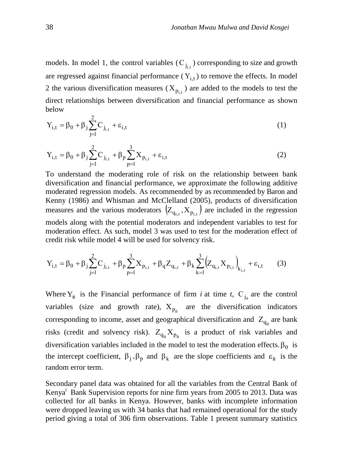models. In model 1, the control variables  $(C_{j_{i,t}})$  corresponding to size and growth are regressed against financial performance  $(Y_{i,t})$  to remove the effects. In model 2 the various diversification measures  $(X_{p_{i,t}})$  are added to the models to test the direct relationships between diversification and financial performance as shown below  $\overline{2}$ 

$$
Y_{i,t} = \beta_0 + \beta_j \sum_{j=1}^{K} C_{j_{i,t}} + \varepsilon_{i,t}
$$
 (1)

$$
Y_{i,t} = \beta_0 + \beta_j \sum_{j=1}^{2} C_{j_{i,t}} + \beta_p \sum_{p=1}^{3} X_{p_{i,t}} + \varepsilon_{i,t}
$$
 (2)

To understand the moderating role of risk on the relationship between bank diversification and financial performance, we approximate the following additive moderated regression models. As recommended by as recommended by Baron and Kenny (1986) and Whisman and McClelland (2005), products of diversification measures and the various moderators  $(Z_{q_{i,t}}, X_{p_{i,t}})$  are included in the regression models along with the potential moderators and independent variables to test for moderation effect. As such, model 3 was used to test for the moderation effect of credit risk while model 4 will be used for solvency risk.

$$
Y_{i,t} = \beta_0 + \beta_j \sum_{j=1}^{2} C_{j_{i,t}} + \beta_p \sum_{p=1}^{3} X_{p_{i,t}} + \beta_q Z_{q_{i,t}} + \beta_k \sum_{k=1}^{3} (Z_{q_{i,t}} X_{p_{i,t}})_{k_{i,t}} + \varepsilon_{i,t}
$$
(3)

Where  $Y_{it}$  is the Financial performance of firm *i* at time *t*,  $C_{j_{it}}$  are the control variables (size and growth rate),  $X_{p_{it}}$  are the diversification indicators corresponding to income, asset and geographical diversification and  $Z_{q_{it}}$  are bank risks (credit and solvency risk).  $Z_{q_{it}}X_{p_{it}}$  is a product of risk variables and diversification variables included in the model to test the moderation effects.  $\beta_0$  is the intercept coefficient,  $\beta_j$ ,  $\beta_p$  and  $\beta_k$  are the slope coefficients and  $\varepsilon_{it}$  is the random error term.

Secondary panel data was obtained for all the variables from the Central Bank of Kenya<sup>1</sup> Bank Supervision reports for nine firm years from 2005 to 2013. Data was collected for all banks in Kenya. However, banks with incomplete information were dropped leaving us with 34 banks that had remained operational for the study period giving a total of 306 firm observations. Table 1 present summary statistics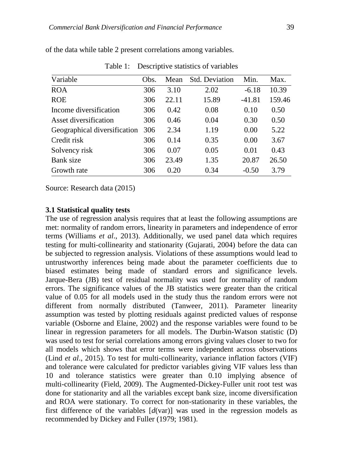| Obs. | Mean  | <b>Std. Deviation</b> | Min.     | Max.   |
|------|-------|-----------------------|----------|--------|
| 306  | 3.10  | 2.02                  | $-6.18$  | 10.39  |
| 306  | 22.11 | 15.89                 | $-41.81$ | 159.46 |
| 306  | 0.42  | 0.08                  | 0.10     | 0.50   |
| 306  | 0.46  | 0.04                  | 0.30     | 0.50   |
| 306  | 2.34  | 1.19                  | 0.00     | 5.22   |
| 306  | 0.14  | 0.35                  | 0.00     | 3.67   |
| 306  | 0.07  | 0.05                  | 0.01     | 0.43   |
| 306  | 23.49 | 1.35                  | 20.87    | 26.50  |
| 306  | 0.20  | 0.34                  | $-0.50$  | 3.79   |
|      |       |                       |          |        |

of the data while table 2 present correlations among variables.

Table 1: Descriptive statistics of variables

Source: Research data (2015)

#### **3.1 Statistical quality tests**

The use of regression analysis requires that at least the following assumptions are met: normality of random errors, linearity in parameters and independence of error terms (Williams *et al*., 2013). Additionally, we used panel data which requires testing for multi-collinearity and stationarity (Gujarati, 2004) before the data can be subjected to regression analysis. Violations of these assumptions would lead to untrustworthy inferences being made about the parameter coefficients due to biased estimates being made of standard errors and significance levels. Jarque-Bera (JB) test of residual normality was used for normality of random errors. The significance values of the JB statistics were greater than the critical value of 0.05 for all models used in the study thus the random errors were not different from normally distributed (Tanweer, 2011). Parameter linearity assumption was tested by plotting residuals against predicted values of response variable (Osborne and Elaine, 2002) and the response variables were found to be linear in regression parameters for all models. The Durbin-Watson statistic (D) was used to test for serial correlations among errors giving values closer to two for all models which shows that error terms were independent across observations (Lind *et al*., 2015). To test for multi-collinearity, variance inflation factors (VIF) and tolerance were calculated for predictor variables giving VIF values less than 10 and tolerance statistics were greater than 0.10 implying absence of multi-collinearity (Field, 2009). The Augmented-Dickey-Fuller unit root test was done for stationarity and all the variables except bank size, income diversification and ROA were stationary. To correct for non-stationarity in these variables, the first difference of the variables [*d*(var)] was used in the regression models as recommended by Dickey and Fuller (1979; 1981).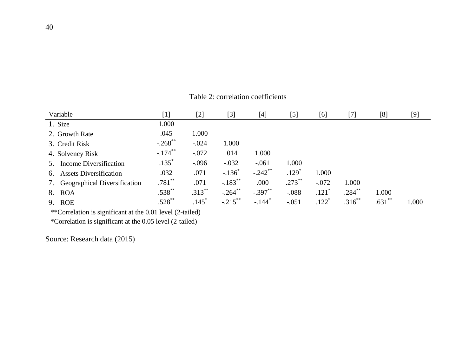| Variable                                                  | [1]        | $[2]$     | $[3]$                 | [4]                  | [5]       | [6]     | $[7]$       | [8]      | $[9]$ |
|-----------------------------------------------------------|------------|-----------|-----------------------|----------------------|-----------|---------|-------------|----------|-------|
| 1. Size                                                   | 1.000      |           |                       |                      |           |         |             |          |       |
| 2. Growth Rate                                            | .045       | 1.000     |                       |                      |           |         |             |          |       |
| 3. Credit Risk                                            | $-.268$ ** | $-.024$   | 1.000                 |                      |           |         |             |          |       |
| 4. Solvency Risk                                          | $-.174***$ | $-.072$   | .014                  | 1.000                |           |         |             |          |       |
| Income Diversification                                    | $.135*$    | $-.096$   | $-.032$               | $-.061$              | 1.000     |         |             |          |       |
| <b>Assets Diversification</b><br>6.                       | .032       | .071      | $-.136^*$             | $-.242$ **           | $.129*$   | 1.000   |             |          |       |
| Geographical Diversification<br>7.                        | $.781***$  | .071      | $-.183$ <sup>**</sup> | .000                 | $.273$ ** | $-.072$ | 1.000       |          |       |
| 8.<br><b>ROA</b>                                          | $.538***$  | $.313***$ | $-.264$ **            | $-.397**$            | $-.088$   | $.121*$ | $.284***$   | 1.000    |       |
| 9. ROE                                                    | $.528***$  | $.145*$   | $-.215$ **            | $-.144$ <sup>*</sup> | $-.051$   | $.122*$ | $.316^{**}$ | $.631**$ | 1.000 |
| **Correlation is significant at the 0.01 level (2-tailed) |            |           |                       |                      |           |         |             |          |       |
| *Correlation is significant at the 0.05 level (2-tailed)  |            |           |                       |                      |           |         |             |          |       |

Table 2: correlation coefficients

Source: Research data (2015)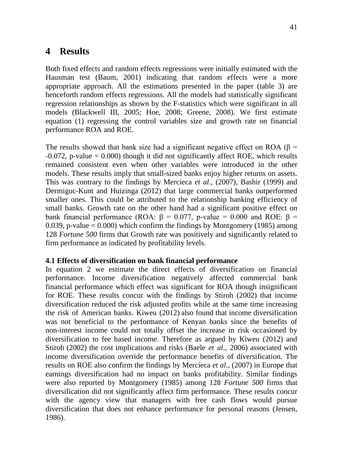# **4 Results**

Both fixed effects and random effects regressions were initially estimated with the Hausman test (Baum, 2001) indicating that random effects were a more appropriate approach. All the estimations presented in the paper (table 3) are henceforth random effects regressions. All the models had statistically significant regression relationships as shown by the F-statistics which were significant in all models (Blackwell III, 2005; Hoe, 2008; Greene, 2008). We first estimate equation (1) regressing the control variables size and growth rate on financial performance ROA and ROE.

The results showed that bank size had a significant negative effect on ROA ( $\beta$  =  $-0.072$ , p-value = 0.000) though it did not significantly affect ROE, which results remained consistent even when other variables were introduced in the other models. These results imply that small-sized banks enjoy higher returns on assets. This was contrary to the findings by Mercieca *et al*., (2007), Bashir (1999) and Dermiguc-Kunt and Huizinga (2012) that large commercial banks outperformed smaller ones. This could be attributed to the relationship banking efficiency of small banks. Growth rate on the other hand had a significant positive effect on bank financial performance (ROA: β = 0.077, p-value = 0.000 and ROE: β = 0.039, p-value  $= 0.000$ ) which confirm the findings by Montgomery (1985) among 128 *Fortune 500* firms that Growth rate was positively and significantly related to firm performance as indicated by profitability levels.

## **4.1 Effects of diversification on bank financial performance**

In equation 2 we estimate the direct effects of diversification on financial performance. Income diversification negatively affected commercial bank financial performance which effect was significant for ROA though insignificant for ROE. These results concur with the findings by Stiroh (2002) that income diversification reduced the risk adjusted profits while at the same time increasing the risk of American banks. Kiweu (2012) also found that income diversification was not beneficial to the performance of Kenyan banks since the benefits of non-interest income could not totally offset the increase in risk occasioned by diversification to fee based income. Therefore as argued by Kiweu (2012) and Stiroh (2002) the cost implications and risks (Baele *et al*., 2006) associated with income diversification override the performance benefits of diversification. The results on ROE also confirm the findings by Mercieca *et al*., (2007) in Europe that earnings diversification had no impact on banks profitability. Similar findings were also reported by Montgomery (1985) among 128 *Fortune 500* firms that diversification did not significantly affect firm performance. These results concur with the agency view that managers with free cash flows would pursue diversification that does not enhance performance for personal reasons (Jensen, 1986).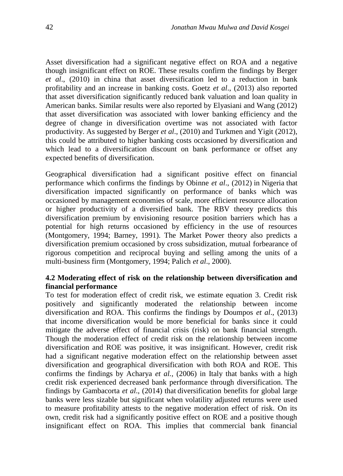Asset diversification had a significant negative effect on ROA and a negative though insignificant effect on ROE. These results confirm the findings by Berger *et al*., (2010) in china that asset diversification led to a reduction in bank profitability and an increase in banking costs. Goetz *et al*., (2013) also reported that asset diversification significantly reduced bank valuation and loan quality in American banks. Similar results were also reported by Elyasiani and Wang (2012) that asset diversification was associated with lower banking efficiency and the degree of change in diversification overtime was not associated with factor productivity. As suggested by Berger *et al*., (2010) and Turkmen and Yigit (2012), this could be attributed to higher banking costs occasioned by diversification and which lead to a diversification discount on bank performance or offset any expected benefits of diversification.

Geographical diversification had a significant positive effect on financial performance which confirms the findings by Obinne *et al*., (2012) in Nigeria that diversification impacted significantly on performance of banks which was occasioned by management economies of scale, more efficient resource allocation or higher productivity of a diversified bank. The RBV theory predicts this diversification premium by envisioning resource position barriers which has a potential for high returns occasioned by efficiency in the use of resources (Montgomery, 1994; Barney, 1991). The Market Power theory also predicts a diversification premium occasioned by cross subsidization, mutual forbearance of rigorous competition and reciprocal buying and selling among the units of a multi-business firm (Montgomery, 1994; Palich *et al*., 2000).

## **4.2 Moderating effect of risk on the relationship between diversification and financial performance**

To test for moderation effect of credit risk, we estimate equation 3. Credit risk positively and significantly moderated the relationship between income diversification and ROA. This confirms the findings by Doumpos *et al*., (2013) that income diversification would be more beneficial for banks since it could mitigate the adverse effect of financial crisis (risk) on bank financial strength. Though the moderation effect of credit risk on the relationship between income diversification and ROE was positive, it was insignificant. However, credit risk had a significant negative moderation effect on the relationship between asset diversification and geographical diversification with both ROA and ROE. This confirms the findings by Acharya *et al.,* (2006) in Italy that banks with a high credit risk experienced decreased bank performance through diversification. The findings by Gambacorta *et al*., (2014) that diversification benefits for global large banks were less sizable but significant when volatility adjusted returns were used to measure profitability attests to the negative moderation effect of risk. On its own, credit risk had a significantly positive effect on ROE and a positive though insignificant effect on ROA. This implies that commercial bank financial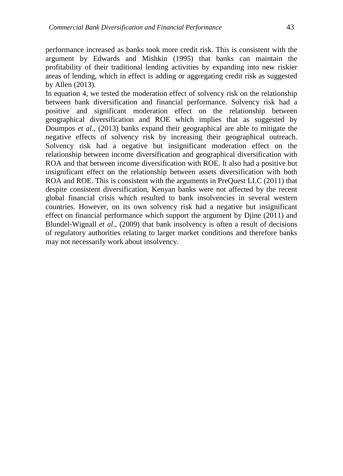performance increased as banks took more credit risk. This is consistent with the argument by Edwards and Mishkin (1995) that banks can maintain the profitability of their traditional lending activities by expanding into new riskier areas of lending, which in effect is adding or aggregating credit risk as suggested by Allen (2013).

In equation 4, we tested the moderation effect of solvency risk on the relationship between bank diversification and financial performance. Solvency risk had a positive and significant moderation effect on the relationship between geographical diversification and ROE which implies that as suggested by Doumpos *et al*., (2013) banks expand their geographical are able to mitigate the negative effects of solvency risk by increasing their geographical outreach. Solvency risk had a negative but insignificant moderation effect on the relationship between income diversification and geographical diversification with ROA and that between income diversification with ROE. It also had a positive but insignificant effect on the relationship between assets diversification with both ROA and ROE. This is consistent with the arguments in PreQuest LLC (2011) that despite consistent diversification, Kenyan banks were not affected by the recent global financial crisis which resulted to bank insolvencies in several western countries. However, on its own solvency risk had a negative but insignificant effect on financial performance which support the argument by Djine (2011) and Blundel-Wignall *et al*., (2009) that bank insolvency is often a result of decisions of regulatory authorities relating to larger market conditions and therefore banks may not necessarily work about insolvency.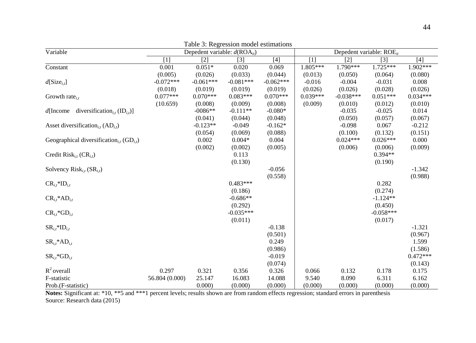| Variable                                                             | r aoic 5: Regi coston moder countamento<br>Depedent variable: $d(ROA_{it})$ |             |                   |             | Depedent variable: ROE <sub>it</sub> |             |             |            |
|----------------------------------------------------------------------|-----------------------------------------------------------------------------|-------------|-------------------|-------------|--------------------------------------|-------------|-------------|------------|
|                                                                      | [1]                                                                         | $[2]$       | $\lceil 3 \rceil$ | $[4]$       | $[1]$                                | $[2]$       | $[3]$       | $[4]$      |
| Constant                                                             | 0.001                                                                       | $0.051*$    | 0.020             | 0.069       | 1.805***                             | 1.790***    | $1.725***$  | $1.902***$ |
|                                                                      | (0.005)                                                                     | (0.026)     | (0.033)           | (0.044)     | (0.013)                              | (0.050)     | (0.064)     | (0.080)    |
| $d[Size_{i,t}]$                                                      | $-0.072***$                                                                 | $-0.061***$ | $-0.081***$       | $-0.062***$ | $-0.016$                             | $-0.004$    | $-0.031$    | 0.008      |
|                                                                      | (0.018)                                                                     | (0.019)     | (0.019)           | (0.019)     | (0.026)                              | (0.026)     | (0.028)     | (0.026)    |
| Growth rate $_{i,t}$                                                 | $0.077***$                                                                  | $0.070***$  | $0.083***$        | $0.070***$  | $0.039***$                           | $-0.038***$ | $0.051***$  | $0.034***$ |
|                                                                      | (10.659)                                                                    | (0.008)     | (0.009)           | (0.008)     | (0.009)                              | (0.010)     | (0.012)     | (0.010)    |
| diversification <sub>i.t</sub> (ID <sub>i,t</sub> )]<br>$d$ [Income] |                                                                             | $-0086**$   | $-0.111**$        | $-0.080*$   |                                      | $-0.035$    | $-0.025$    | 0.014      |
|                                                                      |                                                                             | (0.041)     | (0.044)           | (0.048)     |                                      | (0.050)     | (0.057)     | (0.067)    |
| Asset diversification <sub>i.t</sub> $(AD_{i,t})$                    |                                                                             | $-0.123**$  | $-0.049$          | $-0.162*$   |                                      | $-0.098$    | 0.067       | $-0.212$   |
|                                                                      |                                                                             | (0.054)     | (0.069)           | (0.088)     |                                      | (0.100)     | (0.132)     | (0.151)    |
| Geographical diversification, $(GD_{i,t})$                           |                                                                             | 0.002       | $0.004*$          | 0.004       |                                      | $0.024***$  | $0.026***$  | 0.000      |
|                                                                      |                                                                             | (0.002)     | (0.002)           | (0.005)     |                                      | (0.006)     | (0.006)     | (0.009)    |
| Credit Risk <sub>i.t</sub> $CR_{i,t}$                                |                                                                             |             | 0.113             |             |                                      |             | $0.394**$   |            |
|                                                                      |                                                                             |             | (0.130)           |             |                                      |             | (0.190)     |            |
| Solvency Risk <sub>i,t</sub> (SR <sub>i,t</sub> )                    |                                                                             |             |                   | $-0.056$    |                                      |             |             | $-1.342$   |
|                                                                      |                                                                             |             |                   | (0.558)     |                                      |             |             | (0.988)    |
| $CR_{i,t}$ *ID <sub>i,t</sub>                                        |                                                                             |             | $0.483***$        |             |                                      |             | 0.282       |            |
|                                                                      |                                                                             |             | (0.186)           |             |                                      |             | (0.274)     |            |
| $CR_{i,t}$ *AD <sub>it</sub>                                         |                                                                             |             | $-0.686**$        |             |                                      |             | $-1.124**$  |            |
|                                                                      |                                                                             |             | (0.292)           |             |                                      |             | (0.450)     |            |
| $CR_{i,t}$ *GD <sub>it</sub>                                         |                                                                             |             | $-0.035***$       |             |                                      |             | $-0.058***$ |            |
|                                                                      |                                                                             |             | (0.011)           |             |                                      |             | (0.017)     |            |
| $SR_{i,t}*ID_{i,t}$                                                  |                                                                             |             |                   | $-0.138$    |                                      |             |             | $-1.321$   |
|                                                                      |                                                                             |             |                   | (0.501)     |                                      |             |             | (0.967)    |
| $SR_{i,t}$ *AD <sub>i,t</sub>                                        |                                                                             |             |                   | 0.249       |                                      |             |             | 1.599      |
|                                                                      |                                                                             |             |                   | (0.986)     |                                      |             |             | (1.586)    |
| $SR_{i,t}$ * $GD_{i,t}$                                              |                                                                             |             |                   | $-0.019$    |                                      |             |             | $0.472***$ |
|                                                                      |                                                                             |             |                   | (0.074)     |                                      |             |             | (0.143)    |
| $R^2$ overall                                                        | 0.297                                                                       | 0.321       | 0.356             | 0.326       | 0.066                                | 0.132       | 0.178       | 0.175      |
| F-statistic                                                          | 56.804 (0.000)                                                              | 25.147      | 16.083            | 14.088      | 9.540                                | 8.090       | 6.311       | 6.162      |
| Prob.(F-statistic)                                                   |                                                                             | 0.000       | (0.000)           | (0.000)     | (0.000)                              | (0.000)     | (0.000)     | (0.000)    |

Table 3: Regression model estimations

**Notes:** Significant at: \*10, \*\*5 and \*\*\*1 percent levels; results shown are from random effects regression; standard errors in parenthesis Source: Research data (2015)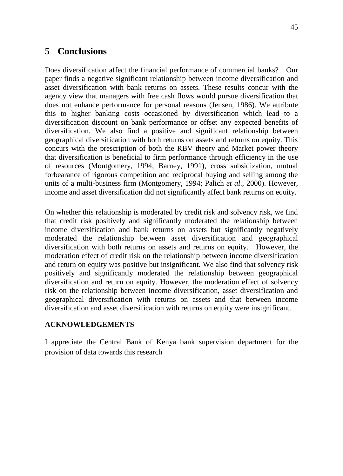# **5 Conclusions**

Does diversification affect the financial performance of commercial banks? Our paper finds a negative significant relationship between income diversification and asset diversification with bank returns on assets. These results concur with the agency view that managers with free cash flows would pursue diversification that does not enhance performance for personal reasons (Jensen, 1986). We attribute this to higher banking costs occasioned by diversification which lead to a diversification discount on bank performance or offset any expected benefits of diversification. We also find a positive and significant relationship between geographical diversification with both returns on assets and returns on equity. This concurs with the prescription of both the RBV theory and Market power theory that diversification is beneficial to firm performance through efficiency in the use of resources (Montgomery, 1994; Barney, 1991), cross subsidization, mutual forbearance of rigorous competition and reciprocal buying and selling among the units of a multi-business firm (Montgomery, 1994; Palich *et al*., 2000). However, income and asset diversification did not significantly affect bank returns on equity.

On whether this relationship is moderated by credit risk and solvency risk, we find that credit risk positively and significantly moderated the relationship between income diversification and bank returns on assets but significantly negatively moderated the relationship between asset diversification and geographical diversification with both returns on assets and returns on equity. However, the moderation effect of credit risk on the relationship between income diversification and return on equity was positive but insignificant. We also find that solvency risk positively and significantly moderated the relationship between geographical diversification and return on equity. However, the moderation effect of solvency risk on the relationship between income diversification, asset diversification and geographical diversification with returns on assets and that between income diversification and asset diversification with returns on equity were insignificant.

## **ACKNOWLEDGEMENTS**

I appreciate the Central Bank of Kenya bank supervision department for the provision of data towards this research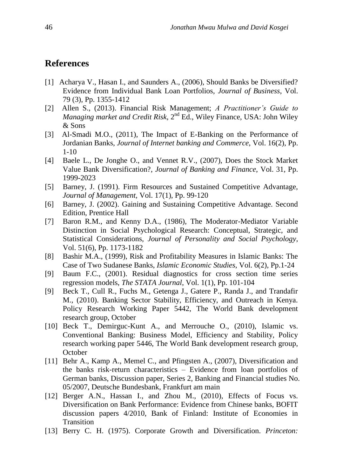## **References**

- [1] Acharya V., Hasan I., and Saunders A., (2006), Should Banks be Diversified? Evidence from Individual Bank Loan Portfolios, *Journal of Business*, Vol. 79 (3), Pp. 1355-1412
- [2] Allen S., (2013). Financial Risk Management; *A Practitioner's Guide to*  Managing market and Credit Risk, 2<sup>nd</sup> Ed., Wiley Finance, USA: John Wiley & Sons
- [3] Al-Smadi M.O., (2011), The Impact of E-Banking on the Performance of Jordanian Banks, *Journal of Internet banking and Commerce*, Vol. 16(2), Pp. 1-10
- [4] Baele L., De Jonghe O., and Vennet R.V., (2007), Does the Stock Market Value Bank Diversification?, *Journal of Banking and Finance*, Vol. 31, Pp. 1999-2023
- [5] Barney, J. (1991). Firm Resources and Sustained Competitive Advantage, *Journal of Management,* Vol. 17(1), Pp. 99-120
- [6] Barney, J. (2002). Gaining and Sustaining Competitive Advantage. Second Edition, Prentice Hall
- [7] Baron R.M., and Kenny D.A., (1986), The Moderator-Mediator Variable Distinction in Social Psychological Research: Conceptual, Strategic, and Statistical Considerations, *Journal of Personality and Social Psychology*, Vol. 51(6), Pp. 1173-1182
- [8] Bashir M.A., (1999), Risk and Profitability Measures in Islamic Banks: The Case of Two Sudanese Banks, *Islamic Economic Studies*, Vol. 6(2), Pp.1-24
- [9] Baum F.C., (2001). Residual diagnostics for cross section time series regression models, *The STATA Journal*, Vol. 1(1), Pp. 101-104
- [9] Beck T., Cull R., Fuchs M., Getenga J., Gatere P., Randa J., and Trandafir M., (2010). Banking Sector Stability, Efficiency, and Outreach in Kenya. Policy Research Working Paper 5442, The World Bank development research group, October
- [10] Beck T., Demirguc-Kunt A., and Merrouche O., (2010), Islamic vs. Conventional Banking: Business Model, Efficiency and Stability, Policy research working paper 5446, The World Bank development research group, **October**
- [11] Behr A., Kamp A., Memel C., and Pfingsten A., (2007), Diversification and the banks risk-return characteristics – Evidence from loan portfolios of German banks, Discussion paper, Series 2, Banking and Financial studies No. 05/2007, Deutsche Bundesbank, Frankfurt am main
- [12] Berger A.N., Hassan I., and Zhou M., (2010), Effects of Focus vs. Diversification on Bank Performance: Evidence from Chinese banks, BOFIT discussion papers 4/2010, Bank of Finland: Institute of Economies in Transition
- [13] Berry C. H. (1975). Corporate Growth and Diversification. *Princeton:*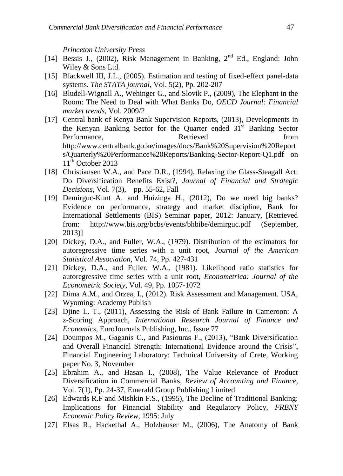*Princeton University Press*

- [14] Bessis J., (2002), Risk Management in Banking, 2<sup>nd</sup> Ed., England: John Wiley & Sons Ltd.
- [15] Blackwell III, J.L., (2005). Estimation and testing of fixed-effect panel-data systems. *The STATA journal*, Vol. 5(2), Pp. 202-207
- [16] Bludell-Wignall A., Wehinger G., and Slovik P., (2009), The Elephant in the Room: The Need to Deal with What Banks Do, *OECD Journal: Financial market trends*, Vol. 2009/2
- [17] Central bank of Kenya Bank Supervision Reports, (2013), Developments in the Kenyan Banking Sector for the Quarter ended  $31<sup>st</sup>$  Banking Sector Performance, Retrieved from [http://www.centralbank.go.ke/images/docs/Bank%20Supervision%20Report](http://www.centralbank.go.ke/images/docs/Bank%20Supervision%20Reports/Quarterly%20Performance%20Reports/Banking-Sector-Report-Q1.pdf%20on%2011th%20October%202013) [s/Quarterly%20Performance%20Reports/Banking-Sector-Report-Q1.pdf on](http://www.centralbank.go.ke/images/docs/Bank%20Supervision%20Reports/Quarterly%20Performance%20Reports/Banking-Sector-Report-Q1.pdf%20on%2011th%20October%202013)   $11<sup>th</sup>$  [October 2013](http://www.centralbank.go.ke/images/docs/Bank%20Supervision%20Reports/Quarterly%20Performance%20Reports/Banking-Sector-Report-Q1.pdf%20on%2011th%20October%202013)
- [18] Christiansen W.A., and Pace D.R., (1994), Relaxing the Glass-Steagall Act: Do Diversification Benefits Exist?, *Journal of Financial and Strategic Decisions*, Vol. 7(3), pp. 55-62, Fall
- [19] Demirguc-Kunt A. and Huizinga H., (2012), Do we need big banks? Evidence on performance, strategy and market discipline, Bank for International Settlements (BIS) Seminar paper, 2012: January, [Retrieved from: <http://www.bis.org/bcbs/events/bhbibe/demirguc.pdf> (September, 2013)]
- [20] Dickey, D.A., and Fuller, W.A., (1979). Distribution of the estimators for autoregressive time series with a unit root, *Journal of the American Statistical Association,* Vol. 74, Pp. 427-431
- [21] Dickey, D.A., and Fuller, W.A., (1981). Likelihood ratio statistics for autoregressive time series with a unit root, *Econometrica: Journal of the Econometric Society*, Vol. 49, Pp. 1057-1072
- [22] Dima A.M., and Orzea, I., (2012). Risk Assessment and Management. USA, Wyoming: Academy Publish
- [23] Djine L. T., (2011), Assessing the Risk of Bank Failure in Cameroon: A z-Scoring Approach, *International Research Journal of Finance and Economics*, EuroJournals Publishing, Inc., Issue 77
- [24] Doumpos M., Gaganis C., and Pasiouras F., (2013), "Bank Diversification and Overall Financial Strength: International Evidence around the Crisis", Financial Engineering Laboratory: Technical University of Crete, Working paper No. 3, November
- [25] Ebrahim A., and Hasan I., (2008), The Value Relevance of Product Diversification in Commercial Banks, *Review of Accounting and Finance*, Vol. 7(1), Pp. 24-37, Emerald Group Publishing Limited
- [26] Edwards R.F and Mishkin F.S., (1995), The Decline of Traditional Banking: Implications for Financial Stability and Regulatory Policy, *FRBNY Economic Policy Review*, 1995: July
- [27] Elsas R., Hackethal A., Holzhauser M., (2006), The Anatomy of Bank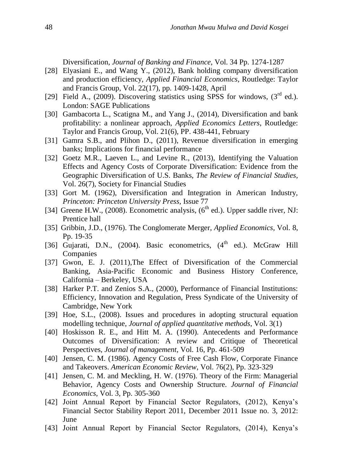Diversification, *Journal of Banking and Finance*, Vol. 34 Pp. 1274-1287

- [28] Elyasiani E., and Wang Y., (2012), Bank holding company diversification and production efficiency, *Applied Financial Economics*, Routledge: Taylor and Francis Group, Vol. 22(17), pp. 1409-1428, April
- [29] Field A., (2009). Discovering statistics using SPSS for windows,  $(3<sup>rd</sup>$  ed.). London: SAGE Publications
- [30] Gambacorta L., Scatigna M., and Yang J., (2014), Diversification and bank profitability: a nonlinear approach, *Applied Economics Letters*, Routledge: Taylor and Francis Group, Vol. 21(6), PP. 438-441, February
- [31] Gamra S.B., and Plihon D., (2011), Revenue diversification in emerging banks; Implications for financial performance
- [32] Goetz M.R., Laeven L., and Levine R., (2013), Identifying the Valuation Effects and Agency Costs of Corporate Diversification: Evidence from the Geographic Diversification of U.S. Banks, *The Review of Financial Studies*, Vol. 26(7), Society for Financial Studies
- [33] Gort M. (1962), Diversification and Integration in American Industry, *Princeton: Princeton University Press,* Issue 77
- [34] Greene H.W., (2008). Econometric analysis,  $(6^{th}$  ed.). Upper saddle river, NJ: Prentice hall
- [35] Gribbin, J.D., (1976). The Conglomerate Merger, *Applied Economics*, Vol. 8, Pp. 19-35
- [36] Gujarati, D.N., (2004). Basic econometrics, (4<sup>th</sup> ed.). McGraw Hill Companies
- [37] Gwon, E. J. (2011),The Effect of Diversification of the Commercial Banking, Asia-Pacific Economic and Business History Conference, California – Berkeley, USA
- [38] Harker P.T. and Zenios S.A., (2000), Performance of Financial Institutions: Efficiency, Innovation and Regulation, Press Syndicate of the University of Cambridge, New York
- [39] Hoe, S.L., (2008). Issues and procedures in adopting structural equation modelling technique, *Journal of applied quantitative methods*, Vol. 3(1)
- [40] Hoskisson R. E., and Hitt M. A. (1990). Antecedents and Performance Outcomes of Diversification: A review and Critique of Theoretical Perspectives, *Journal of management*, Vol. 16, Pp. 461-509
- [40] Jensen, C. M. (1986). Agency Costs of Free Cash Flow, Corporate Finance and Takeovers. *American Economic Review,* Vol. 76(2), Pp. 323-329
- [41] Jensen, C. M. and Meckling, H. W. (1976). Theory of the Firm: Managerial Behavior, Agency Costs and Ownership Structure. *Journal of Financial Economics*, Vol. 3, Pp. 305-360
- [42] Joint Annual Report by Financial Sector Regulators, (2012), Kenya's Financial Sector Stability Report 2011, December 2011 Issue no. 3, 2012: June
- [43] Joint Annual Report by Financial Sector Regulators, (2014), Kenya's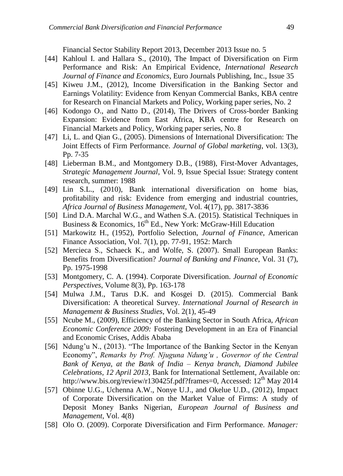Financial Sector Stability Report 2013, December 2013 Issue no. 5

- [44] Kahloul I. and Hallara S., (2010), The Impact of Diversification on Firm Performance and Risk: An Empirical Evidence, *International Research Journal of Finance and Economics*, Euro Journals Publishing, Inc., Issue 35
- [45] Kiweu J.M., (2012), Income Diversification in the Banking Sector and Earnings Volatility: Evidence from Kenyan Commercial Banks*,* KBA centre for Research on Financial Markets and Policy, Working paper series, No. 2
- [46] Kodongo O., and Natto D., (2014), The Drivers of Cross-border Banking Expansion: Evidence from East Africa, KBA centre for Research on Financial Markets and Policy, Working paper series, No. 8
- [47] Li, L. and Qian G., (2005). Dimensions of International Diversification: The Joint Effects of Firm Performance. *Journal of Global marketing*, vol. 13(3), Pp. 7-35
- [48] Lieberman B.M., and Montgomery D.B., (1988), First-Mover Advantages, *Strategic Management Journal*, Vol. 9, Issue Special Issue: Strategy content research, summer: 1988
- [49] Lin S.L., (2010), Bank international diversification on home bias, profitability and risk: Evidence from emerging and industrial countries, *Africa Journal of Business Management*, Vol. 4(17), pp. 3817-3836
- [50] Lind D.A. Marchal W.G., and Wathen S.A. (2015). Statistical Techniques in Business & Economics,  $16<sup>th</sup>$  Ed., New York: McGraw-Hill Education
- [51] Markowitz H., (1952), Portfolio Selection, *Journal of Finance*, American Finance Association, Vol. 7(1), pp. 77-91, 1952: March
- [52] Mercieca S., Schaeck K., and Wolfe, S. (2007). Small European Banks: Benefits from Diversification? *Journal of Banking and Finance*, Vol. 31 (7), Pp. 1975-1998
- [53] Montgomery, C. A. (1994). Corporate Diversification. *Journal of Economic Perspectives*, Volume 8(3), Pp. 163-178
- [54] Mulwa J.M., Tarus D.K. and Kosgei D. (2015). Commercial Bank Diversification: A theoretical Survey. *International Journal of Research in Management & Business Studies*, Vol. 2(1), 45-49
- [55] Ncube M., (2009), Efficiency of the Banking Sector in South Africa, *African Economic Conference 2009:* Fostering Development in an Era of Financial and Economic Crises, Addis Ababa
- [56] Ndung'u N., (2013). "The Importance of the Banking Sector in the Kenyan Economy", *Remarks by Prof. Njuguna Ndung'u , Governor of the Central Bank of Kenya, at the Bank of India – Kenya branch, Diamond Jubilee Celebrations, 12 April 2013*, Bank for International Settlement, Available on: [http://www.bis.org/review/r130425f.pdf?](http://www.bis.org/review/r130425f.pdf)frames=0, Accessed: 12<sup>th</sup> May 2014
- [57] Obinne U.G., Uchenna A.W., Nonye U.J., and Okelue U.D., (2012), Impact of Corporate Diversification on the Market Value of Firms: A study of Deposit Money Banks Nigerian, *European Journal of Business and Management*, Vol. 4(8)
- [58] Olo O. (2009). Corporate Diversification and Firm Performance. *Manager:*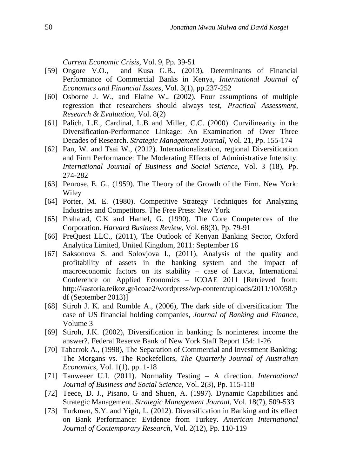*Current Economic Crisis*, Vol. 9, Pp. 39-51

- [59] Ongore V.O., and Kusa G.B., (2013), Determinants of Financial Performance of Commercial Banks in Kenya, *International Journal of Economics and Financial Issues*, Vol. 3(1), pp.237-252
- [60] Osborne J. W., and Elaine W., (2002), Four assumptions of multiple regression that researchers should always test, *Practical Assessment*, *Research & Evaluation*, Vol. 8(2)
- [61] Palich, L.E., Cardinal, L.B and Miller, C.C. (2000). Curvilinearity in the Diversification-Performance Linkage: An Examination of Over Three Decades of Research. *Strategic Management Journal,* Vol. 21, Pp. 155-174
- [62] Pan, W. and Tsai W., (2012). Internationalization, regional Diversification and Firm Performance: The Moderating Effects of Administrative Intensity. *International Journal of Business and Social Science*, Vol. 3 (18), Pp. 274-282
- [63] Penrose, E. G., (1959). The Theory of the Growth of the Firm. New York: Wiley
- [64] Porter, M. E. (1980). Competitive Strategy Techniques for Analyzing Industries and Competitors. The Free Press: New York
- [65] Prahalad, C.K and Hamel, G. (1990). The Core Competences of the Corporation. *Harvard Business Review*, Vol. 68(3), Pp. 79-91
- [66] PreQuest LLC., (2011), The Outlook of Kenyan Banking Sector, Oxford Analytica Limited, United Kingdom, 2011: September 16
- [67] Saksonova S. and Solovjova I., (2011), Analysis of the quality and profitability of assets in the banking system and the impact of macroeconomic factors on its stability – case of Latvia, International Conference on Applied Economics – ICOAE 2011 [Retrieved from: [http://kastoria.teikoz.gr/icoae2/wordpress/wp-content/uploads/2011/10/058.p](http://kastoria.teikoz.gr/icoae2/wordpress/wp-content/uploads/2011/10/058.pdf) [df](http://kastoria.teikoz.gr/icoae2/wordpress/wp-content/uploads/2011/10/058.pdf) (September 2013)]
- [68] Stiroh J. K. and Rumble A., (2006), The dark side of diversification: The case of US financial holding companies, *Journal of Banking and Finance*, Volume 3
- [69] Stiroh, J.K. (2002), Diversification in banking; Is noninterest income the answer?, Federal Reserve Bank of New York Staff Report 154: 1-26
- [70] Tabarrok A., (1998), The Separation of Commercial and Investment Banking: The Morgans vs. The Rockefellors, *The Quarterly Journal of Australian Economics*, Vol. 1(1), pp. 1-18
- [71] Tanweeer U.I. (2011). Normality Testing A direction. *International Journal of Business and Social Science*, Vol. 2(3), Pp. 115-118
- [72] Teece, D. J., Pisano, G and Shuen, A. (1997). Dynamic Capabilities and Strategic Management. *Strategic Management Journal,* Vol. 18(7), 509-533
- [73] Turkmen, S.Y. and Yigit, I., (2012). Diversification in Banking and its effect on Bank Performance: Evidence from Turkey. *American International Journal of Contemporary Research*, Vol. 2(12), Pp. 110-119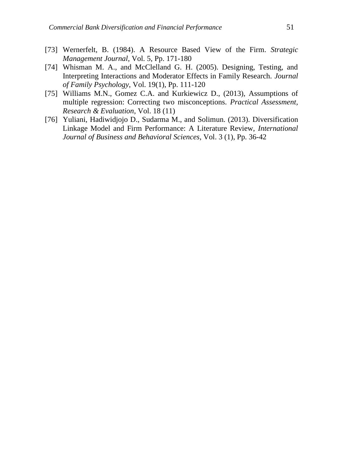- [73] Wernerfelt, B. (1984). A Resource Based View of the Firm. *Strategic Management Journal*, Vol. 5, Pp. 171-180
- [74] Whisman M. A., and McClelland G. H. (2005). Designing, Testing, and Interpreting Interactions and Moderator Effects in Family Research. *Journal of Family Psychology*, Vol. 19(1), Pp. 111-120
- [75] Williams M.N., Gomez C.A. and Kurkiewicz D., (2013), Assumptions of multiple regression: Correcting two misconceptions. *Practical Assessment, Research & Evaluation*, Vol. 18 (11)
- [76] Yuliani, Hadiwidjojo D., Sudarma M., and Solimun. (2013). Diversification Linkage Model and Firm Performance: A Literature Review, *International Journal of Business and Behavioral Sciences*, Vol. 3 (1), Pp. 36-42